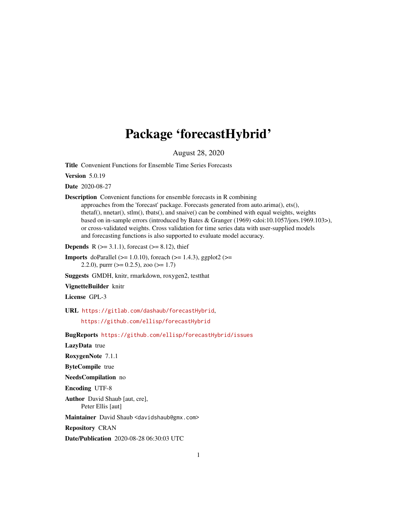# Package 'forecastHybrid'

August 28, 2020

<span id="page-0-0"></span>Title Convenient Functions for Ensemble Time Series Forecasts

**Version 5.0.19** 

Date 2020-08-27

Description Convenient functions for ensemble forecasts in R combining

approaches from the 'forecast' package. Forecasts generated from auto.arima(), ets(), thetaf(), nnetar(), stlm(), tbats(), and snaive() can be combined with equal weights, weights based on in-sample errors (introduced by Bates & Granger (1969) <doi:10.1057/jors.1969.103>), or cross-validated weights. Cross validation for time series data with user-supplied models and forecasting functions is also supported to evaluate model accuracy.

**Depends** R  $(>= 3.1.1)$ , forecast  $(>= 8.12)$ , thief

**Imports** doParallel ( $> = 1.0.10$ ), foreach ( $> = 1.4.3$ ), ggplot2 ( $> =$ 2.2.0), purrr ( $> = 0.2.5$ ), zoo ( $> = 1.7$ )

Suggests GMDH, knitr, rmarkdown, roxygen2, testthat

VignetteBuilder knitr

License GPL-3

URL <https://gitlab.com/dashaub/forecastHybrid>,

<https://github.com/ellisp/forecastHybrid>

BugReports <https://github.com/ellisp/forecastHybrid/issues>

LazyData true

RoxygenNote 7.1.1

ByteCompile true

NeedsCompilation no

Encoding UTF-8

Author David Shaub [aut, cre], Peter Ellis [aut]

Maintainer David Shaub <davidshaub@gmx.com>

Repository CRAN

Date/Publication 2020-08-28 06:30:03 UTC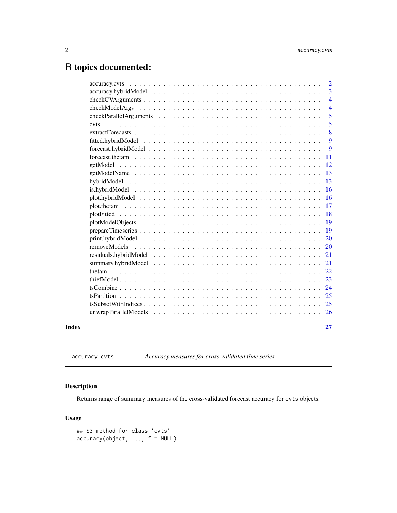## <span id="page-1-0"></span>R topics documented:

|       |                                                                                                                                | $\overline{2}$ |
|-------|--------------------------------------------------------------------------------------------------------------------------------|----------------|
|       |                                                                                                                                | $\overline{3}$ |
|       | $checkCVArguments \dots \dots \dots \dots \dots \dots \dots \dots \dots \dots \dots \dots \dots \dots \dots \dots \dots \dots$ | $\overline{4}$ |
|       |                                                                                                                                | $\overline{4}$ |
|       |                                                                                                                                | 5              |
|       |                                                                                                                                | 5              |
|       |                                                                                                                                | 8              |
|       |                                                                                                                                | 9              |
|       |                                                                                                                                | 9              |
|       |                                                                                                                                | 11             |
|       | 12                                                                                                                             |                |
|       | 13                                                                                                                             |                |
|       | 13                                                                                                                             |                |
|       | 16                                                                                                                             |                |
|       | <b>16</b>                                                                                                                      |                |
|       | 17                                                                                                                             |                |
|       | 18                                                                                                                             |                |
|       | <b>19</b>                                                                                                                      |                |
|       | 19                                                                                                                             |                |
|       | print<br>20                                                                                                                    |                |
|       | 20                                                                                                                             |                |
|       | 21                                                                                                                             |                |
|       | 21                                                                                                                             |                |
|       | 22                                                                                                                             |                |
|       | 23                                                                                                                             |                |
|       | 24                                                                                                                             |                |
|       | 25                                                                                                                             |                |
|       |                                                                                                                                |                |
|       | -26                                                                                                                            |                |
| Index |                                                                                                                                | 27             |
|       |                                                                                                                                |                |

<span id="page-1-1"></span>accuracy.cvts *Accuracy measures for cross-validated time series*

### Description

Returns range of summary measures of the cross-validated forecast accuracy for cvts objects.

```
## S3 method for class 'cvts'
accuracy(object, ..., f = NULL)
```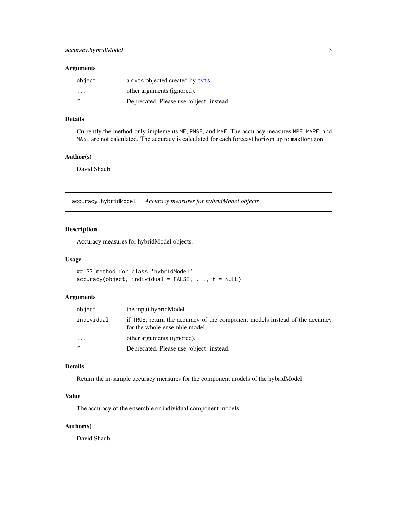<span id="page-2-0"></span>

| object                  | a cvts objected created by cvts.         |
|-------------------------|------------------------------------------|
| $\cdot$ $\cdot$ $\cdot$ | other arguments (ignored).               |
| f                       | Deprecated. Please use 'object' instead. |

#### Details

Currently the method only implements ME, RMSE, and MAE. The accuracy measures MPE, MAPE, and MASE are not calculated. The accuracy is calculated for each forecast horizon up to maxHorizon

#### Author(s)

David Shaub

accuracy.hybridModel *Accuracy measures for hybridModel objects*

#### Description

Accuracy measures for hybridModel objects.

#### Usage

```
## S3 method for class 'hybridModel'
accuracy(object, individual = FALSE, ..., f = NULL)
```
#### Arguments

| object     | the input hybrid Model.                                                                                       |
|------------|---------------------------------------------------------------------------------------------------------------|
| individual | if TRUE, return the accuracy of the component models instead of the accuracy<br>for the whole ensemble model. |
| $\cdots$   | other arguments (ignored).                                                                                    |
| f          | Deprecated. Please use 'object' instead.                                                                      |

#### Details

Return the in-sample accuracy measures for the component models of the hybridModel

#### Value

The accuracy of the ensemble or individual component models.

#### Author(s)

David Shaub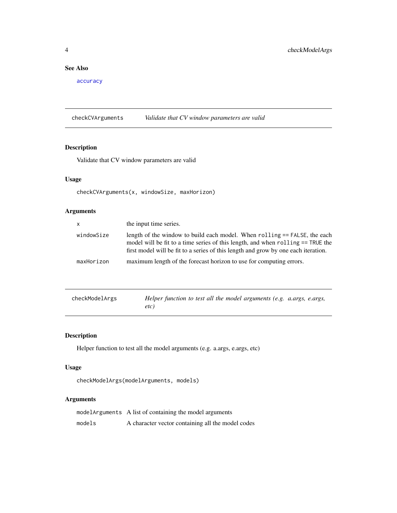#### <span id="page-3-0"></span>See Also

[accuracy](#page-0-0)

checkCVArguments *Validate that CV window parameters are valid*

### Description

Validate that CV window parameters are valid

#### Usage

checkCVArguments(x, windowSize, maxHorizon)

### Arguments

| $\mathsf{x}$ | the input time series.                                                                                                                                                                                                                             |
|--------------|----------------------------------------------------------------------------------------------------------------------------------------------------------------------------------------------------------------------------------------------------|
| windowSize   | length of the window to build each model. When rolling == FALSE, the each<br>model will be fit to a time series of this length, and when rolling == TRUE the<br>first model will be fit to a series of this length and grow by one each iteration. |
| maxHorizon   | maximum length of the forecast horizon to use for computing errors.                                                                                                                                                                                |

| checkModelArgs | Helper function to test all the model arguments (e.g. a.args, e.args, |
|----------------|-----------------------------------------------------------------------|
|                | etc)                                                                  |

### Description

Helper function to test all the model arguments (e.g. a.args, e.args, etc)

#### Usage

```
checkModelArgs(modelArguments, models)
```
#### Arguments

|        | modelArguments A list of containing the model arguments |
|--------|---------------------------------------------------------|
| models | A character vector containing all the model codes       |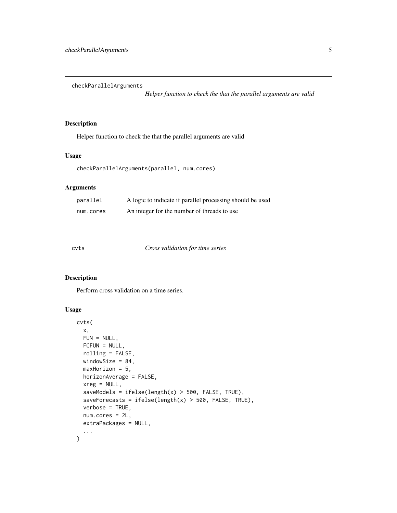<span id="page-4-0"></span>checkParallelArguments

*Helper function to check the that the parallel arguments are valid*

#### Description

Helper function to check the that the parallel arguments are valid

#### Usage

checkParallelArguments(parallel, num.cores)

#### Arguments

| parallel  | A logic to indicate if parallel processing should be used |
|-----------|-----------------------------------------------------------|
| num.cores | An integer for the number of threads to use               |

<span id="page-4-1"></span>

| Cross validation for time series<br>cvts |
|------------------------------------------|
|------------------------------------------|

### Description

Perform cross validation on a time series.

```
cvts(
  x,
  FUN = NULL,
 FCFUN = NULL,
  rolling = FALSE,
 windowSize = 84,
 maxHorizon = 5,
 horizonAverage = FALSE,
  xreg = NULL,
  saveModels = ifelse(length(x) > 500, FALSE, TRUE),saveForecasts = ifelse(length(x) > 500, FALSE, TRUE),
  verbose = TRUE,
  num.cores = 2L,
  extraPackages = NULL,
  ...
)
```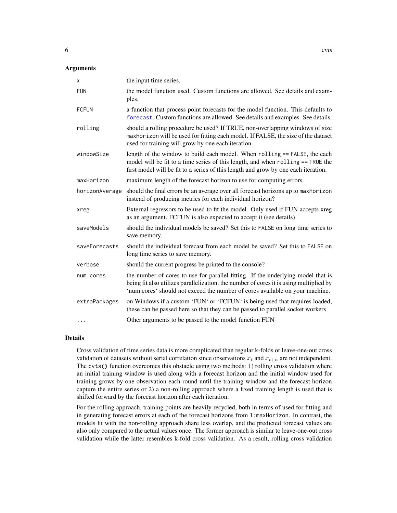<span id="page-5-0"></span>

| x              | the input time series.                                                                                                                                                                                                                                     |
|----------------|------------------------------------------------------------------------------------------------------------------------------------------------------------------------------------------------------------------------------------------------------------|
| <b>FUN</b>     | the model function used. Custom functions are allowed. See details and exam-<br>ples.                                                                                                                                                                      |
| <b>FCFUN</b>   | a function that process point forecasts for the model function. This defaults to<br>forecast. Custom functions are allowed. See details and examples. See details.                                                                                         |
| rolling        | should a rolling procedure be used? If TRUE, non-overlapping windows of size<br>maxHorizon will be used for fitting each model. If FALSE, the size of the dataset<br>used for training will grow by one each iteration.                                    |
| windowSize     | length of the window to build each model. When rolling == FALSE, the each<br>model will be fit to a time series of this length, and when rolling == TRUE the<br>first model will be fit to a series of this length and grow by one each iteration.         |
| maxHorizon     | maximum length of the forecast horizon to use for computing errors.                                                                                                                                                                                        |
| horizonAverage | should the final errors be an average over all forecast horizons up to maxHorizon<br>instead of producing metrics for each individual horizon?                                                                                                             |
| xreg           | External regressors to be used to fit the model. Only used if FUN accepts xreg<br>as an argument. FCFUN is also expected to accept it (see details)                                                                                                        |
| saveModels     | should the individual models be saved? Set this to FALSE on long time series to<br>save memory.                                                                                                                                                            |
| saveForecasts  | should the individual forecast from each model be saved? Set this to FALSE on<br>long time series to save memory.                                                                                                                                          |
| verbose        | should the current progress be printed to the console?                                                                                                                                                                                                     |
| num.cores      | the number of cores to use for parallel fitting. If the underlying model that is<br>being fit also utilizes parallelization, the number of cores it is using multiplied by<br>'num.cores' should not exceed the number of cores available on your machine. |
| extraPackages  | on Windows if a custom 'FUN' or 'FCFUN' is being used that requires loaded,<br>these can be passed here so that they can be passed to parallel socket workers                                                                                              |
| $\cdots$       | Other arguments to be passed to the model function FUN                                                                                                                                                                                                     |

#### Details

Cross validation of time series data is more complicated than regular k-folds or leave-one-out cross validation of datasets without serial correlation since observations  $x_t$  and  $x_{t+n}$  are not independent. The cvts() function overcomes this obstacle using two methods: 1) rolling cross validation where an initial training window is used along with a forecast horizon and the initial window used for training grows by one observation each round until the training window and the forecast horizon capture the entire series or 2) a non-rolling approach where a fixed training length is used that is shifted forward by the forecast horizon after each iteration.

For the rolling approach, training points are heavily recycled, both in terms of used for fitting and in generating forecast errors at each of the forecast horizons from 1:maxHorizon. In contrast, the models fit with the non-rolling approach share less overlap, and the predicted forecast values are also only compared to the actual values once. The former approach is similar to leave-one-out cross validation while the latter resembles k-fold cross validation. As a result, rolling cross validation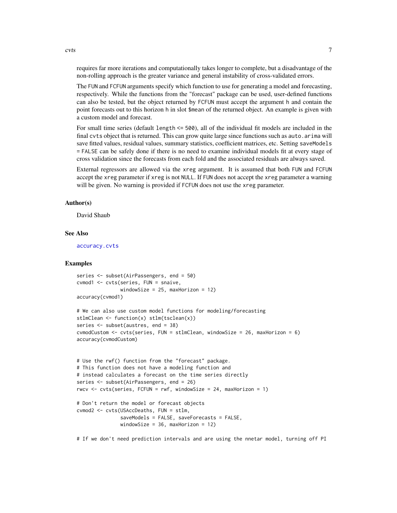<span id="page-6-0"></span>cvts and the contract of the contract of the contract of the contract of the contract of the contract of the contract of the contract of the contract of the contract of the contract of the contract of the contract of the c

requires far more iterations and computationally takes longer to complete, but a disadvantage of the non-rolling approach is the greater variance and general instability of cross-validated errors.

The FUN and FCFUN arguments specify which function to use for generating a model and forecasting, respectively. While the functions from the "forecast" package can be used, user-defined functions can also be tested, but the object returned by FCFUN must accept the argument h and contain the point forecasts out to this horizon h in slot \$mean of the returned object. An example is given with a custom model and forecast.

For small time series (default length <= 500), all of the individual fit models are included in the final cvts object that is returned. This can grow quite large since functions such as auto.arima will save fitted values, residual values, summary statistics, coefficient matrices, etc. Setting saveModels = FALSE can be safely done if there is no need to examine individual models fit at every stage of cross validation since the forecasts from each fold and the associated residuals are always saved.

External regressors are allowed via the xreg argument. It is assumed that both FUN and FCFUN accept the xreg parameter if xreg is not NULL. If FUN does not accept the xreg parameter a warning will be given. No warning is provided if FCFUN does not use the xreg parameter.

#### Author(s)

David Shaub

#### See Also

[accuracy.cvts](#page-1-1)

#### Examples

```
series <- subset(AirPassengers, end = 50)
cvmod1 <- cvts(series, FUN = snaive,
               windowSize = 25, maxHorizon = 12)
accuracy(cvmod1)
```

```
# We can also use custom model functions for modeling/forecasting
stlmClean <- function(x) stlm(tsclean(x))
series <- subset(austres, end = 38)
cvmodCustom <- cvts(series, FUN = stlmClean, windowSize = 26, maxHorizon = 6)
accuracy(cvmodCustom)
```

```
# Use the rwf() function from the "forecast" package.
# This function does not have a modeling function and
# instead calculates a forecast on the time series directly
series <- subset(AirPassengers, end = 26)
rwcv \le cvts(series, FCFUN = rwf, windowSize = 24, maxHorizon = 1)
```

```
# Don't return the model or forecast objects
cvmod2 <- cvts(USAccDeaths, FUN = stlm,
              saveModels = FALSE, saveForecasts = FALSE,
              windowSize = 36, maxHorizon = 12)
```
# If we don't need prediction intervals and are using the nnetar model, turning off PI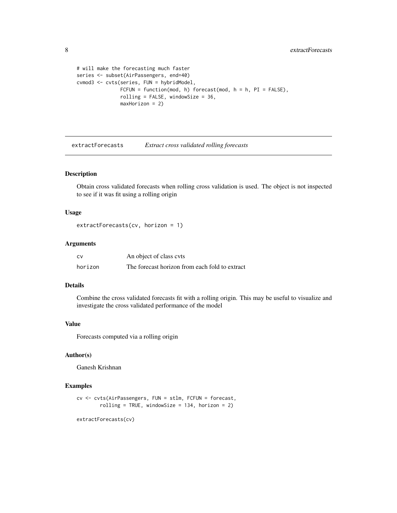```
# will make the forecasting much faster
series <- subset(AirPassengers, end=40)
cvmod3 <- cvts(series, FUN = hybridModel,
               FCFUN = function(mod, h) forecast(mod, h = h, PI = FALSE),
               rolling = FALSE, windowSize = 36,
               maxHorizon = 2)
```
extractForecasts *Extract cross validated rolling forecasts*

#### Description

Obtain cross validated forecasts when rolling cross validation is used. The object is not inspected to see if it was fit using a rolling origin

#### Usage

```
extractForecasts(cv, horizon = 1)
```
#### Arguments

| c٧      | An object of class cvts                        |
|---------|------------------------------------------------|
| horizon | The forecast horizon from each fold to extract |

#### Details

Combine the cross validated forecasts fit with a rolling origin. This may be useful to visualize and investigate the cross validated performance of the model

#### Value

Forecasts computed via a rolling origin

#### Author(s)

Ganesh Krishnan

#### Examples

```
cv <- cvts(AirPassengers, FUN = stlm, FCFUN = forecast,
       rolling = TRUE, windowSize = 134, horizon = 2)
```
extractForecasts(cv)

<span id="page-7-0"></span>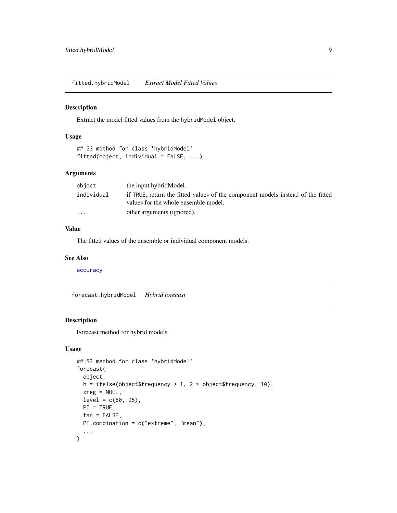<span id="page-8-0"></span>fitted.hybridModel *Extract Model Fitted Values*

#### Description

Extract the model fitted values from the hybridModel object.

#### Usage

```
## S3 method for class 'hybridModel'
fitted(object, individual = FALSE, ...)
```
#### Arguments

| object                  | the input hybrid Model.                                                                                                 |
|-------------------------|-------------------------------------------------------------------------------------------------------------------------|
| individual              | if TRUE, return the fitted values of the component models instead of the fitted<br>values for the whole ensemble model. |
| $\cdot$ $\cdot$ $\cdot$ | other arguments (ignored).                                                                                              |

#### Value

The fitted values of the ensemble or individual component models.

#### See Also

[accuracy](#page-0-0)

<span id="page-8-1"></span>forecast.hybridModel *Hybrid forecast*

#### Description

Forecast method for hybrid models.

```
## S3 method for class 'hybridModel'
forecast(
 object,
 h = ifelse(object$frequency > 1, 2 * object$frequency, 10),xreg = NULL,level = c(80, 95),
 PI = TRUE,
 fan = FALSE,
 PI.combination = c("extreme", "mean"),
  ...
)
```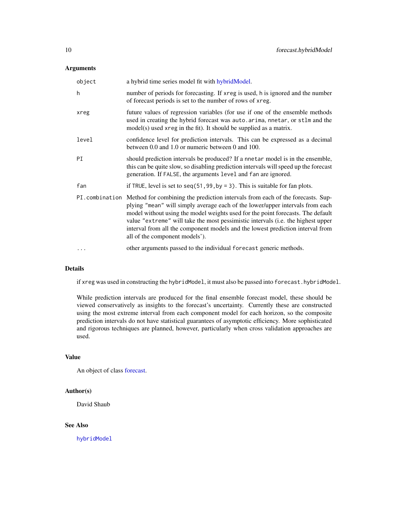<span id="page-9-0"></span>

| object | a hybrid time series model fit with hybridModel.                                                                                                                                                                                                                                                                                                                                                                                                                           |
|--------|----------------------------------------------------------------------------------------------------------------------------------------------------------------------------------------------------------------------------------------------------------------------------------------------------------------------------------------------------------------------------------------------------------------------------------------------------------------------------|
| h      | number of periods for forecasting. If xreg is used, h is ignored and the number<br>of forecast periods is set to the number of rows of xreg.                                                                                                                                                                                                                                                                                                                               |
| xreg   | future values of regression variables (for use if one of the ensemble methods<br>used in creating the hybrid forecast was auto. arima, nnetar, or stlm and the<br>model(s) used xreg in the fit). It should be supplied as a matrix.                                                                                                                                                                                                                                       |
| level  | confidence level for prediction intervals. This can be expressed as a decimal<br>between 0.0 and 1.0 or numeric between 0 and 100.                                                                                                                                                                                                                                                                                                                                         |
| PI     | should prediction intervals be produced? If a nnetar model is in the ensemble,<br>this can be quite slow, so disabling prediction intervals will speed up the forecast<br>generation. If FALSE, the arguments level and fan are ignored.                                                                                                                                                                                                                                   |
| fan    | if TRUE, level is set to $seq(51, 99, by = 3)$ . This is suitable for fan plots.                                                                                                                                                                                                                                                                                                                                                                                           |
|        | PI. combination Method for combining the prediction intervals from each of the forecasts. Sup-<br>plying "mean" will simply average each of the lower/upper intervals from each<br>model without using the model weights used for the point forecasts. The default<br>value "extreme" will take the most pessimistic intervals (i.e. the highest upper<br>interval from all the component models and the lowest prediction interval from<br>all of the component models'). |
| .      | other arguments passed to the individual forecast generic methods.                                                                                                                                                                                                                                                                                                                                                                                                         |

#### Details

if xreg was used in constructing the hybridModel, it must also be passed into forecast.hybridModel.

While prediction intervals are produced for the final ensemble forecast model, these should be viewed conservatively as insights to the forecast's uncertainty. Currently these are constructed using the most extreme interval from each component model for each horizon, so the composite prediction intervals do not have statistical guarantees of asymptotic efficiency. More sophisticated and rigorous techniques are planned, however, particularly when cross validation approaches are used.

#### Value

An object of class [forecast.](#page-0-0)

#### Author(s)

David Shaub

#### See Also

[hybridModel](#page-12-1)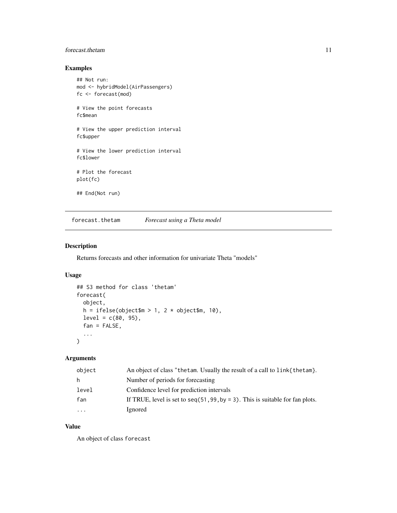#### <span id="page-10-0"></span>forecast.thetam 11

#### Examples

```
## Not run:
mod <- hybridModel(AirPassengers)
fc <- forecast(mod)
# View the point forecasts
fc$mean
# View the upper prediction interval
fc$upper
# View the lower prediction interval
fc$lower
# Plot the forecast
plot(fc)
## End(Not run)
```
<span id="page-10-1"></span>forecast.thetam *Forecast using a Theta model*

#### Description

Returns forecasts and other information for univariate Theta "models"

#### Usage

```
## S3 method for class 'thetam'
forecast(
 object,
 h = ifelse(object$m > 1, 2 * object$m, 10),
 level = c(80, 95),
  fan = FALSE,
  ...
\mathcal{L}
```
#### Arguments

| object   | An object of class "thetam. Usually the result of a call to link{thetam}.        |
|----------|----------------------------------------------------------------------------------|
| h.       | Number of periods for forecasting                                                |
| level    | Confidence level for prediction intervals                                        |
| fan      | If TRUE, level is set to $seq(51, 99, by = 3)$ . This is suitable for fan plots. |
| $\cdots$ | Ignored                                                                          |

#### Value

An object of class forecast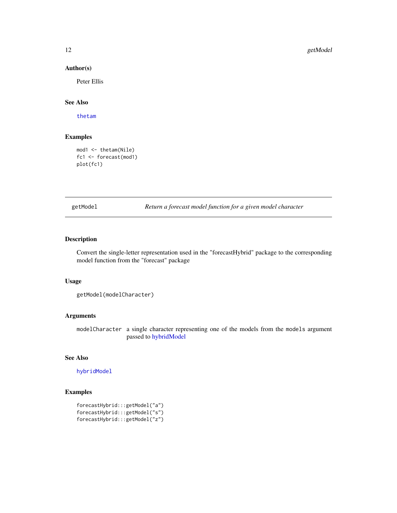#### Author(s)

Peter Ellis

#### See Also

[thetam](#page-21-1)

#### Examples

```
mod1 <- thetam(Nile)
fc1 <- forecast(mod1)
plot(fc1)
```
getModel *Return a forecast model function for a given model character*

#### Description

Convert the single-letter representation used in the "forecastHybrid" package to the corresponding model function from the "forecast" package

#### Usage

```
getModel(modelCharacter)
```
#### Arguments

modelCharacter a single character representing one of the models from the models argument passed to [hybridModel](#page-12-1)

#### See Also

[hybridModel](#page-12-1)

#### Examples

```
forecastHybrid:::getModel("a")
forecastHybrid:::getModel("s")
forecastHybrid:::getModel("z")
```
<span id="page-11-0"></span>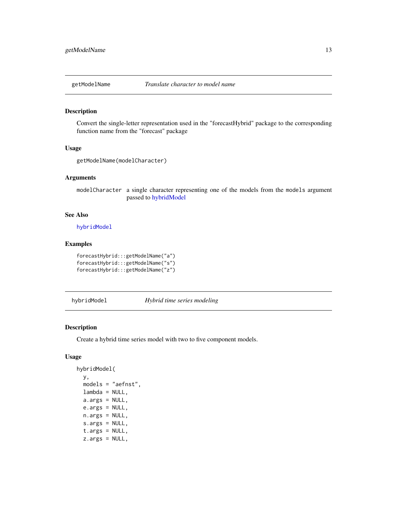<span id="page-12-0"></span>

Convert the single-letter representation used in the "forecastHybrid" package to the corresponding function name from the "forecast" package

#### Usage

```
getModelName(modelCharacter)
```
#### Arguments

modelCharacter a single character representing one of the models from the models argument passed to [hybridModel](#page-12-1)

#### See Also

[hybridModel](#page-12-1)

#### Examples

```
forecastHybrid:::getModelName("a")
forecastHybrid:::getModelName("s")
forecastHybrid:::getModelName("z")
```
<span id="page-12-1"></span>hybridModel *Hybrid time series modeling*

#### Description

Create a hybrid time series model with two to five component models.

```
hybridModel(
 y,
 models = "aefnst",
 lambda = NULL,
 a.args = NULL,
 e.args = NULL,
 n.args = NULL,
  s.args = NULL,
  t.args = NULL,
  z.args = NULL,
```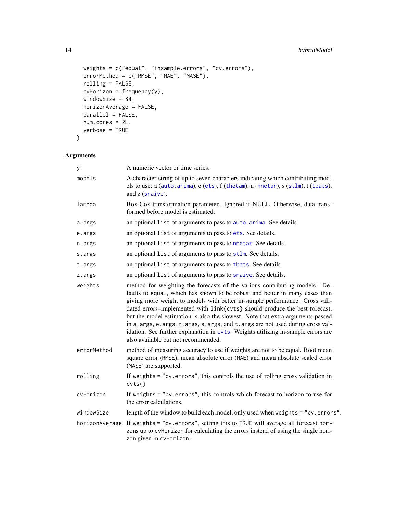```
weights = c("equal", "insample.errors", "cv.errors"),
 errorMethod = c("RMSE", "MAE", "MASE"),
 rolling = FALSE,
 cvHorizon = frequency(y),
 windowSize = 84,
 horizonAverage = FALSE,
 parallel = FALSE,
 num.cores = 2L,
 verbose = TRUE
\mathcal{L}
```

| У              | A numeric vector or time series.                                                                                                                                                                                                                                                                                                                                                                                                                                                                                                                                                                                         |
|----------------|--------------------------------------------------------------------------------------------------------------------------------------------------------------------------------------------------------------------------------------------------------------------------------------------------------------------------------------------------------------------------------------------------------------------------------------------------------------------------------------------------------------------------------------------------------------------------------------------------------------------------|
| models         | A character string of up to seven characters indicating which contributing mod-<br>els to use: a (auto.arima), e (ets), f (thetam), n (nnetar), s (stlm), t (tbats),<br>and z (snaive).                                                                                                                                                                                                                                                                                                                                                                                                                                  |
| lambda         | Box-Cox transformation parameter. Ignored if NULL. Otherwise, data trans-<br>formed before model is estimated.                                                                                                                                                                                                                                                                                                                                                                                                                                                                                                           |
| a.args         | an optional list of arguments to pass to auto. arima. See details.                                                                                                                                                                                                                                                                                                                                                                                                                                                                                                                                                       |
| e.args         | an optional list of arguments to pass to ets. See details.                                                                                                                                                                                                                                                                                                                                                                                                                                                                                                                                                               |
| n.args         | an optional list of arguments to pass to nnetar. See details.                                                                                                                                                                                                                                                                                                                                                                                                                                                                                                                                                            |
| s.args         | an optional list of arguments to pass to stlm. See details.                                                                                                                                                                                                                                                                                                                                                                                                                                                                                                                                                              |
| t.args         | an optional list of arguments to pass to tbats. See details.                                                                                                                                                                                                                                                                                                                                                                                                                                                                                                                                                             |
| z.args         | an optional list of arguments to pass to snaive. See details.                                                                                                                                                                                                                                                                                                                                                                                                                                                                                                                                                            |
| weights        | method for weighting the forecasts of the various contributing models. De-<br>faults to equal, which has shown to be robust and better in many cases than<br>giving more weight to models with better in-sample performance. Cross vali-<br>dated errors-implemented with link{cvts} should produce the best forecast,<br>but the model estimation is also the slowest. Note that extra arguments passed<br>in a. args, e. args, n. args, s. args, and t. args are not used during cross val-<br>idation. See further explanation in cvts. Weights utilizing in-sample errors are<br>also available but not recommended. |
| errorMethod    | method of measuring accuracy to use if weights are not to be equal. Root mean<br>square error (RMSE), mean absolute error (MAE) and mean absolute scaled error<br>(MASE) are supported.                                                                                                                                                                                                                                                                                                                                                                                                                                  |
| rolling        | If weights $=$ "cv. errors", this controls the use of rolling cross validation in<br>cvts()                                                                                                                                                                                                                                                                                                                                                                                                                                                                                                                              |
| cvHorizon      | If weights = "cv.errors", this controls which forecast to horizon to use for<br>the error calculations.                                                                                                                                                                                                                                                                                                                                                                                                                                                                                                                  |
| windowSize     | length of the window to build each model, only used when weights = "cv.errors".                                                                                                                                                                                                                                                                                                                                                                                                                                                                                                                                          |
| horizonAverage | If weights = "cv.errors", setting this to TRUE will average all forecast hori-<br>zons up to cvHorizon for calculating the errors instead of using the single hori-<br>zon given in cvHorizon.                                                                                                                                                                                                                                                                                                                                                                                                                           |

<span id="page-13-0"></span>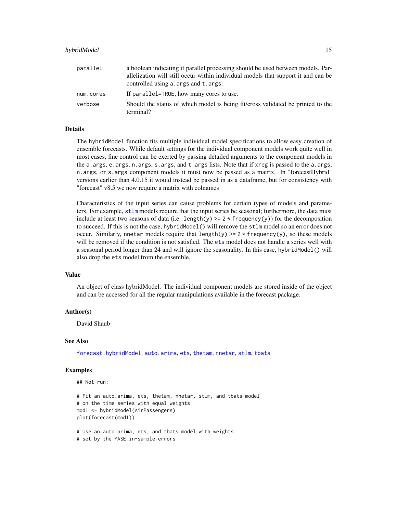#### <span id="page-14-0"></span>hybridModel 15

| parallel  | a boolean indicating if parallel processing should be used between models. Par-<br>allelization will still occur within individual models that support it and can be<br>controlled using a args and t args. |
|-----------|-------------------------------------------------------------------------------------------------------------------------------------------------------------------------------------------------------------|
| num.cores | If parallel=TRUE, how many cores to use.                                                                                                                                                                    |
| verbose   | Should the status of which model is being fit/cross validated be printed to the<br>terminal?                                                                                                                |

#### Details

The hybridModel function fits multiple individual model specifications to allow easy creation of ensemble forecasts. While default settings for the individual component models work quite well in most cases, fine control can be exerted by passing detailed arguments to the component models in the a.args, e.args, n.args, s.args, and t.args lists. Note that if xreg is passed to the a.args, n.args, or s.args component models it must now be passed as a matrix. In "forecastHybrid" versions earlier than 4.0.15 it would instead be passed in as a dataframe, but for consistency with "forecast" v8.5 we now require a matrix with colnames

Characteristics of the input series can cause problems for certain types of models and parameters. For example, [stlm](#page-0-0) models require that the input series be seasonal; furthermore, the data must include at least two seasons of data (i.e. length(y)  $>= 2 * frequency(y)$  for the decomposition to succeed. If this is not the case, hybridModel() will remove the stlm model so an error does not occur. Similarly, nnetar models require that length(y)  $>= 2 * frequency(y)$ , so these models will be removed if the condition is not satisfied. The [ets](#page-0-0) model does not handle a series well with a seasonal period longer than 24 and will ignore the seasonality. In this case, hybridModel() will also drop the ets model from the ensemble.

#### Value

An object of class hybridModel. The individual component models are stored inside of the object and can be accessed for all the regular manipulations available in the forecast package.

#### Author(s)

David Shaub

#### See Also

[forecast.hybridModel](#page-8-1), [auto.arima](#page-0-0), [ets](#page-0-0), [thetam](#page-21-1), [nnetar](#page-0-0), [stlm](#page-0-0), [tbats](#page-0-0)

#### Examples

```
## Not run:
```

```
# Fit an auto.arima, ets, thetam, nnetar, stlm, and tbats model
# on the time series with equal weights
mod1 <- hybridModel(AirPassengers)
plot(forecast(mod1))
```

```
# Use an auto.arima, ets, and tbats model with weights
# set by the MASE in-sample errors
```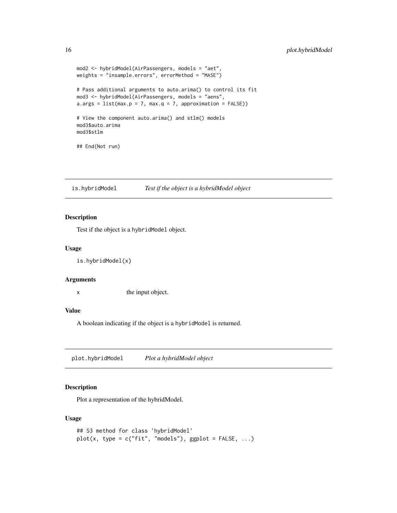```
mod2 <- hybridModel(AirPassengers, models = "aet",
weights = "insample.errors", errorMethod = "MASE")
# Pass additional arguments to auto.arima() to control its fit
mod3 <- hybridModel(AirPassengers, models = "aens",
a.args = list(max.p = 7, max.q = 7, approximation = FALSE))
# View the component auto.arima() and stlm() models
mod3$auto.arima
mod3$stlm
## End(Not run)
```
is.hybridModel *Test if the object is a hybridModel object*

#### Description

Test if the object is a hybridModel object.

#### Usage

is.hybridModel(x)

#### Arguments

x the input object.

#### Value

A boolean indicating if the object is a hybridModel is returned.

plot.hybridModel *Plot a hybridModel object*

#### Description

Plot a representation of the hybridModel.

```
## S3 method for class 'hybridModel'
plot(x, type = c("fit", "models"), ggbot = FALSE, ...)
```
<span id="page-15-0"></span>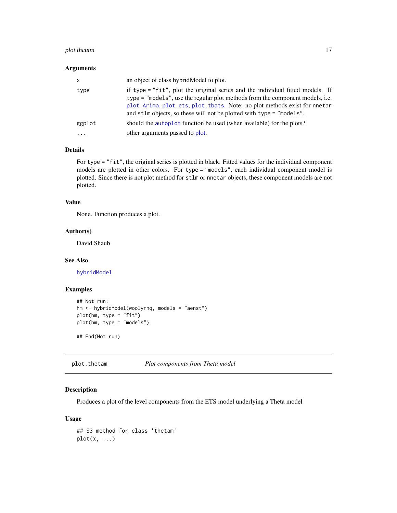#### <span id="page-16-0"></span>plot.thetam 17

#### Arguments

| X      | an object of class hybrid Model to plot.                                                                                                                                                                                                                                                                               |
|--------|------------------------------------------------------------------------------------------------------------------------------------------------------------------------------------------------------------------------------------------------------------------------------------------------------------------------|
| type   | if type = "fit", plot the original series and the individual fitted models. If<br>type = "models", use the regular plot methods from the component models, i.e.<br>plot. Arima, plot. ets, plot. tbats. Note: no plot methods exist for nnetar<br>and stlm objects, so these will not be plotted with type = "models". |
| ggplot | should the autoplot function be used (when available) for the plots?                                                                                                                                                                                                                                                   |
| .      | other arguments passed to plot.                                                                                                                                                                                                                                                                                        |

#### Details

For type = "fit", the original series is plotted in black. Fitted values for the individual component models are plotted in other colors. For type = "models", each individual component model is plotted. Since there is not plot method for stlm or nnetar objects, these component models are not plotted.

#### Value

None. Function produces a plot.

#### Author(s)

David Shaub

#### See Also

[hybridModel](#page-12-1)

#### Examples

```
## Not run:
hm <- hybridModel(woolyrnq, models = "aenst")
plot(hm, type = "fit")
plot(hm, type = "models")
## End(Not run)
```
plot.thetam *Plot components from Theta model*

#### Description

Produces a plot of the level components from the ETS model underlying a Theta model

```
## S3 method for class 'thetam'
plot(x, \ldots)
```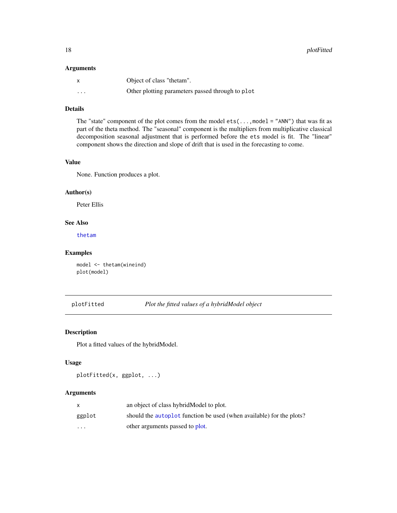<span id="page-17-0"></span>

| x        | Object of class "thetam".                        |
|----------|--------------------------------------------------|
| $\cdots$ | Other plotting parameters passed through to plot |

#### Details

The "state" component of the plot comes from the model  $ets(...,model = "ANN")$  that was fit as part of the theta method. The "seasonal" component is the multipliers from multiplicative classical decomposition seasonal adjustment that is performed before the ets model is fit. The "linear" component shows the direction and slope of drift that is used in the forecasting to come.

#### Value

None. Function produces a plot.

#### Author(s)

Peter Ellis

#### See Also

[thetam](#page-21-1)

#### Examples

model <- thetam(wineind) plot(model)

#### plotFitted *Plot the fitted values of a hybridModel object*

#### Description

Plot a fitted values of the hybridModel.

#### Usage

```
plotFitted(x, ggplot, ...)
```
#### Arguments

|          | an object of class hybrid Model to plot.                             |
|----------|----------------------------------------------------------------------|
| ggplot   | should the autoplot function be used (when available) for the plots? |
| $\cdots$ | other arguments passed to plot.                                      |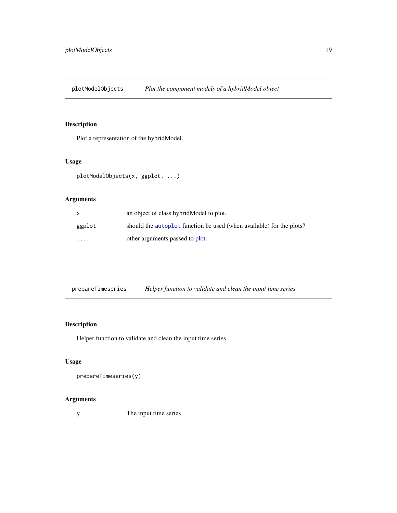<span id="page-18-0"></span>plotModelObjects *Plot the component models of a hybridModel object*

#### Description

Plot a representation of the hybridModel.

#### Usage

```
plotModelObjects(x, ggplot, ...)
```
#### Arguments

| X        | an object of class hybrid Model to plot.                             |
|----------|----------------------------------------------------------------------|
| ggplot   | should the autoplot function be used (when available) for the plots? |
| $\cdots$ | other arguments passed to plot.                                      |

prepareTimeseries *Helper function to validate and clean the input time series*

#### Description

Helper function to validate and clean the input time series

#### Usage

```
prepareTimeseries(y)
```
### Arguments

y The input time series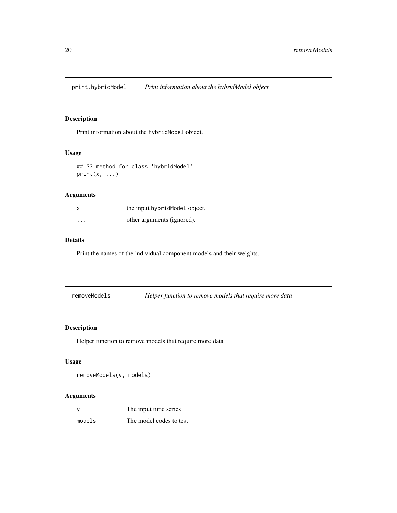<span id="page-19-0"></span>print.hybridModel *Print information about the hybridModel object*

### Description

Print information about the hybridModel object.

### Usage

## S3 method for class 'hybridModel'  $print(x, \ldots)$ 

#### Arguments

|         | the input hybrid Model object. |
|---------|--------------------------------|
| $\cdot$ | other arguments (ignored).     |

#### Details

Print the names of the individual component models and their weights.

| removeModels | Helper function to remove models that require more data |  |
|--------------|---------------------------------------------------------|--|
|--------------|---------------------------------------------------------|--|

#### Description

Helper function to remove models that require more data

#### Usage

```
removeModels(y, models)
```
#### Arguments

| У      | The input time series   |
|--------|-------------------------|
| models | The model codes to test |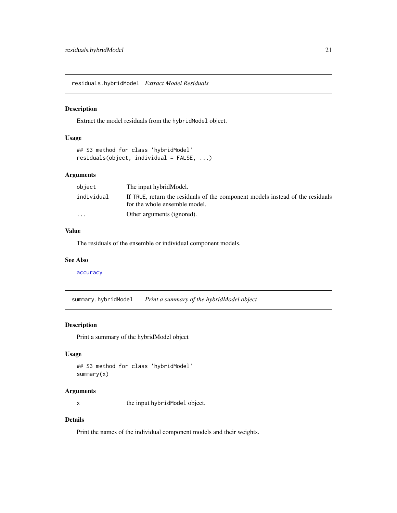<span id="page-20-0"></span>residuals.hybridModel *Extract Model Residuals*

#### Description

Extract the model residuals from the hybridModel object.

#### Usage

```
## S3 method for class 'hybridModel'
residuals(object, individual = FALSE, ...)
```
#### Arguments

| object                  | The input hybridModel.                                                                                          |
|-------------------------|-----------------------------------------------------------------------------------------------------------------|
| individual              | If TRUE, return the residuals of the component models instead of the residuals<br>for the whole ensemble model. |
| $\cdot$ $\cdot$ $\cdot$ | Other arguments (ignored).                                                                                      |

#### Value

The residuals of the ensemble or individual component models.

#### See Also

[accuracy](#page-0-0)

summary.hybridModel *Print a summary of the hybridModel object*

#### Description

Print a summary of the hybridModel object

#### Usage

```
## S3 method for class 'hybridModel'
summary(x)
```
#### Arguments

x the input hybridModel object.

#### Details

Print the names of the individual component models and their weights.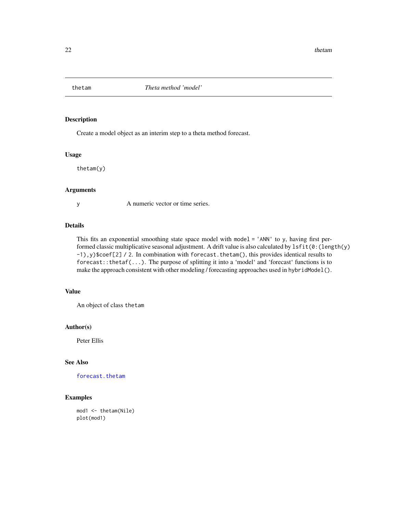<span id="page-21-1"></span><span id="page-21-0"></span>

Create a model object as an interim step to a theta method forecast.

#### Usage

thetam(y)

#### Arguments

y A numeric vector or time series.

#### Details

This fits an exponential smoothing state space model with model = 'ANN' to y, having first performed classic multiplicative seasonal adjustment. A drift value is also calculated by  $1\text{sfit}(\theta)$ : (length(y) -1),y)\$coef[2] / 2. In combination with forecast.thetam(), this provides identical results to forecast::thetaf(...). The purpose of splitting it into a 'model' and 'forecast' functions is to make the approach consistent with other modeling / forecasting approaches used in hybridModel().

#### Value

An object of class thetam

#### Author(s)

Peter Ellis

#### See Also

[forecast.thetam](#page-10-1)

#### Examples

mod1 <- thetam(Nile) plot(mod1)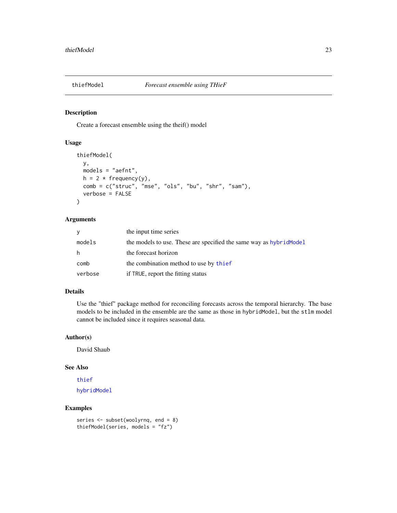<span id="page-22-0"></span>

Create a forecast ensemble using the theif() model

#### Usage

```
thiefModel(
 y,
 models = "aefnt",
 h = 2 * frequency(y),comb = c("struc", "mse", "ols", "bu", "shr", "sam"),verbose = FALSE
)
```
#### Arguments

| У       | the input time series                                               |
|---------|---------------------------------------------------------------------|
| models  | the models to use. These are specified the same way as hybrid Model |
| h       | the forecast horizon                                                |
| comb    | the combination method to use by thief                              |
| verbose | if TRUE, report the fitting status                                  |

#### Details

Use the "thief" package method for reconciling forecasts across the temporal hierarchy. The base models to be included in the ensemble are the same as those in hybridModel, but the stlm model cannot be included since it requires seasonal data.

#### Author(s)

David Shaub

#### See Also

[thief](#page-0-0)

[hybridModel](#page-12-1)

#### Examples

```
series <- subset(woolyrnq, end = 8)
thiefModel(series, models = "fz")
```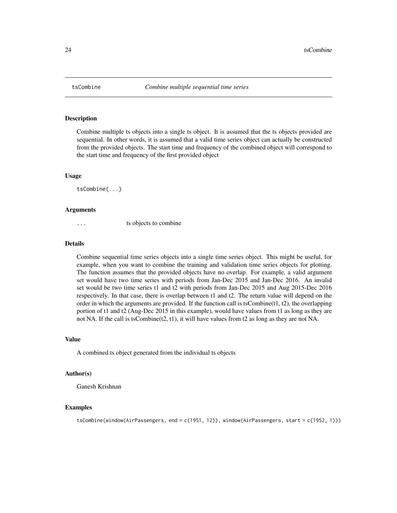<span id="page-23-0"></span>

Combine multiple ts objects into a single ts object. It is assumed that the ts objects provided are sequential. In other words, it is assumed that a valid time series object can actually be constructed from the provided objects. The start time and frequency of the combined object will correspond to the start time and frequency of the first provided object

#### Usage

tsCombine(...)

#### Arguments

... ts objects to combine

#### Details

Combine sequential time series objects into a single time series object. This might be useful, for example, when you want to combine the training and validation time series objects for plotting. The function assumes that the provided objects have no overlap. For example, a valid argument set would have two time series with periods from Jan-Dec 2015 and Jan-Dec 2016. An invalid set would be two time series t1 and t2 with periods from Jan-Dec 2015 and Aug 2015-Dec 2016 respectively. In that case, there is overlap between t1 and t2. The return value will depend on the order in which the arguments are provided. If the function call is tsCombine $(t1, t2)$ , the overlapping portion of t1 and t2 (Aug-Dec 2015 in this example), would have values from t1 as long as they are not NA. If the call is tsCombine( $(2, t1)$ , it will have values from  $t2$  as long as they are not NA.

#### Value

A combined ts object generated from the individual ts objects

#### Author(s)

Ganesh Krishnan

#### Examples

```
tsCombine(window(AirPassengers, end = c(1951, 12)), window(AirPassengers, start = c(1952, 1)))
```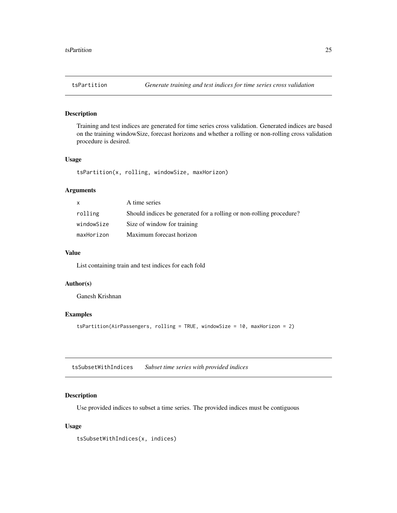<span id="page-24-0"></span>Training and test indices are generated for time series cross validation. Generated indices are based on the training windowSize, forecast horizons and whether a rolling or non-rolling cross validation procedure is desired.

#### Usage

tsPartition(x, rolling, windowSize, maxHorizon)

#### Arguments

|            | A time series                                                       |
|------------|---------------------------------------------------------------------|
| rolling    | Should indices be generated for a rolling or non-rolling procedure? |
| windowSize | Size of window for training                                         |
| maxHorizon | Maximum forecast horizon                                            |

#### Value

List containing train and test indices for each fold

#### Author(s)

Ganesh Krishnan

#### Examples

tsPartition(AirPassengers, rolling = TRUE, windowSize = 10, maxHorizon = 2)

tsSubsetWithIndices *Subset time series with provided indices*

#### Description

Use provided indices to subset a time series. The provided indices must be contiguous

#### Usage

tsSubsetWithIndices(x, indices)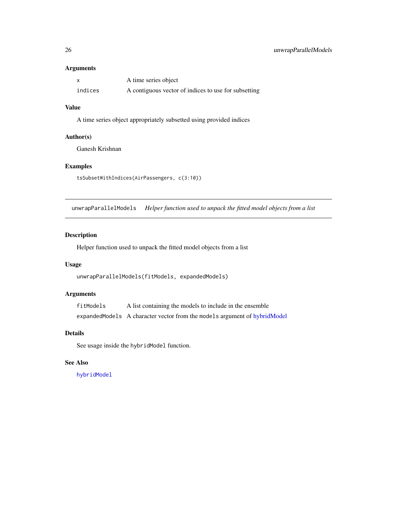<span id="page-25-0"></span>

|         | A time series object                                 |
|---------|------------------------------------------------------|
| indices | A contiguous vector of indices to use for subsetting |

#### Value

A time series object appropriately subsetted using provided indices

#### Author(s)

Ganesh Krishnan

#### Examples

tsSubsetWithIndices(AirPassengers, c(3:10))

unwrapParallelModels *Helper function used to unpack the fitted model objects from a list*

### Description

Helper function used to unpack the fitted model objects from a list

#### Usage

unwrapParallelModels(fitModels, expandedModels)

#### Arguments

fitModels A list containing the models to include in the ensemble expandedModels A character vector from the models argument of [hybridModel](#page-12-1)

#### Details

See usage inside the hybridModel function.

#### See Also

[hybridModel](#page-12-1)